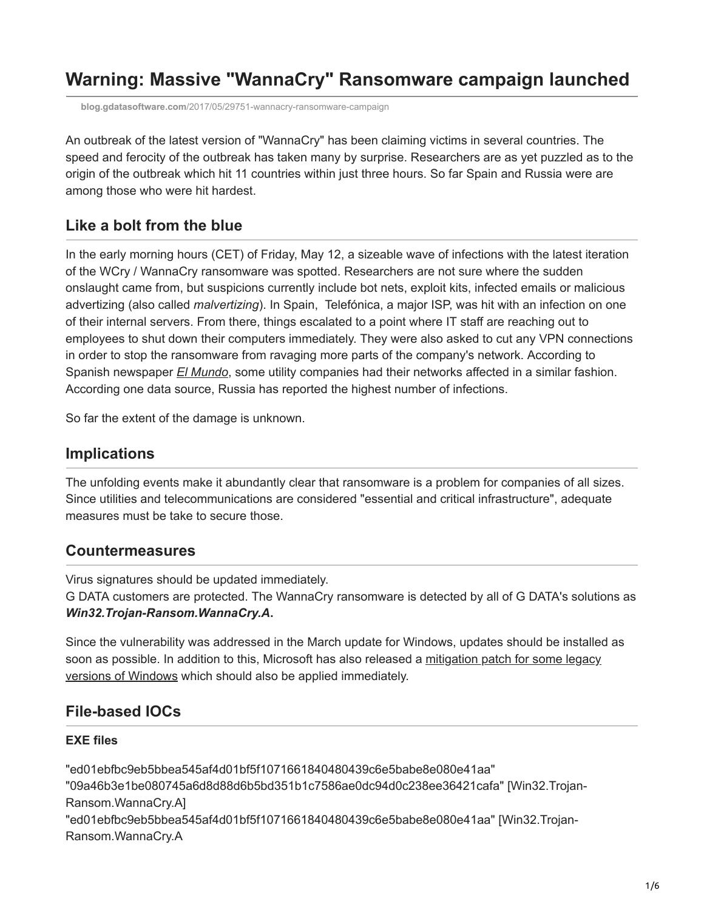# **Warning: Massive "WannaCry" Ransomware campaign launched**

**blog.gdatasoftware.com**[/2017/05/29751-wannacry-ransomware-campaign](https://blog.gdatasoftware.com/2017/05/29751-wannacry-ransomware-campaign)

An outbreak of the latest version of "WannaCry" has been claiming victims in several countries. The speed and ferocity of the outbreak has taken many by surprise. Researchers are as yet puzzled as to the origin of the outbreak which hit 11 countries within just three hours. So far Spain and Russia were are among those who were hit hardest.

### **Like a bolt from the blue**

In the early morning hours (CET) of Friday, May 12, a sizeable wave of infections with the latest iteration of the WCry / WannaCry ransomware was spotted. Researchers are not sure where the sudden onslaught came from, but suspicions currently include bot nets, exploit kits, infected emails or malicious advertizing (also called *malvertizing*). In Spain, Telefónica, a major ISP, was hit with an infection on one of their internal servers. From there, things escalated to a point where IT staff are reaching out to employees to shut down their computers immediately. They were also asked to cut any VPN connections in order to stop the ransomware from ravaging more parts of the company's network. According to Spanish newspaper *[El Mundo](http://www.elmundo.es/tecnologia/2017/05/12/59158a8ce5fdea194f8b4616.html)*, some utility companies had their networks affected in a similar fashion. According one data source, Russia has reported the highest number of infections.

So far the extent of the damage is unknown.

### **Implications**

The unfolding events make it abundantly clear that ransomware is a problem for companies of all sizes. Since utilities and telecommunications are considered "essential and critical infrastructure", adequate measures must be take to secure those.

### **Countermeasures**

Virus signatures should be updated immediately.

G DATA customers are protected. The WannaCry ransomware is detected by all of G DATA's solutions as *Win32.Trojan-Ransom.WannaCry.A***.**

Since the vulnerability was addressed in the March update for Windows, updates should be installed as [soon as possible. In addition to this, Microsoft has also released a mitigation patch for some legacy](https://blogs.technet.microsoft.com/msrc/2017/05/12/customer-guidance-for-wannacrypt-attacks/) versions of Windows which should also be applied immediately.

### **File-based IOCs**

#### **EXE files**

"ed01ebfbc9eb5bbea545af4d01bf5f1071661840480439c6e5babe8e080e41aa" "09a46b3e1be080745a6d8d88d6b5bd351b1c7586ae0dc94d0c238ee36421cafa" [Win32.Trojan-Ransom.WannaCry.A] "ed01ebfbc9eb5bbea545af4d01bf5f1071661840480439c6e5babe8e080e41aa" [Win32.Trojan-Ransom.WannaCry.A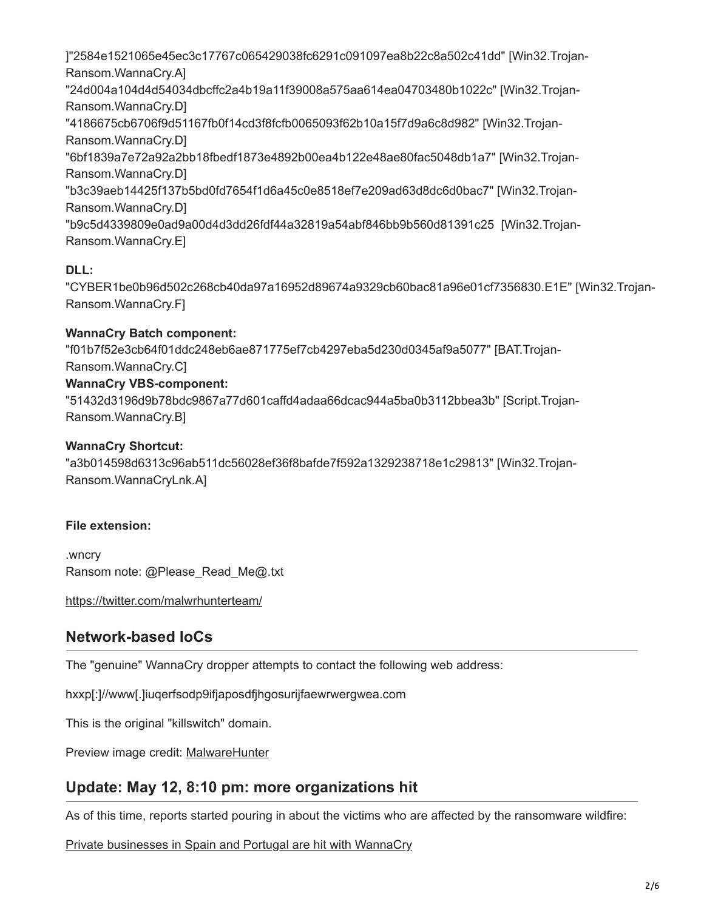]"2584e1521065e45ec3c17767c065429038fc6291c091097ea8b22c8a502c41dd" [Win32.Trojan-Ransom.WannaCry.A] "24d004a104d4d54034dbcffc2a4b19a11f39008a575aa614ea04703480b1022c" [Win32.Trojan-Ransom.WannaCry.D] "4186675cb6706f9d51167fb0f14cd3f8fcfb0065093f62b10a15f7d9a6c8d982" [Win32.Trojan-Ransom.WannaCry.D] "6bf1839a7e72a92a2bb18fbedf1873e4892b00ea4b122e48ae80fac5048db1a7" [Win32.Trojan-Ransom.WannaCry.D] "b3c39aeb14425f137b5bd0fd7654f1d6a45c0e8518ef7e209ad63d8dc6d0bac7" [Win32.Trojan-Ransom.WannaCry.D] "b9c5d4339809e0ad9a00d4d3dd26fdf44a32819a54abf846bb9b560d81391c25 [Win32.Trojan-Ransom.WannaCry.E]

### **DLL:**

"CYBER1be0b96d502c268cb40da97a16952d89674a9329cb60bac81a96e01cf7356830.E1E" [Win32.Trojan-Ransom.WannaCry.F]

### **WannaCry Batch component:**

"f01b7f52e3cb64f01ddc248eb6ae871775ef7cb4297eba5d230d0345af9a5077" [BAT.Trojan-Ransom.WannaCry.C]

### **WannaCry VBS-component:**

"51432d3196d9b78bdc9867a77d601caffd4adaa66dcac944a5ba0b3112bbea3b" [Script.Trojan-Ransom.WannaCry.B]

### **WannaCry Shortcut:**

"a3b014598d6313c96ab511dc56028ef36f8bafde7f592a1329238718e1c29813" [Win32.Trojan-Ransom.WannaCryLnk.A]

### **File extension:**

.wncry Ransom note: @Please\_Read\_Me@.txt

<https://twitter.com/malwrhunterteam/>

# **Network-based IoCs**

The "genuine" WannaCry dropper attempts to contact the following web address:

hxxp[:]//www[.]iuqerfsodp9ifjaposdfjhgosurijfaewrwergwea.com

This is the original "killswitch" domain.

Preview image credit: [MalwareHunter](https://twitter.com/malwrhunterteam/)

# **Update: May 12, 8:10 pm: more organizations hit**

As of this time, reports started pouring in about the victims who are affected by the ransomware wildfire:

[Private businesses in Spain and Portugal are hit with WannaCry](https://www.publico.pt/2017/05/12/tecnologia/noticia/ataque-informatico-internacional-afecta-empresas-e-hospitais-1771939)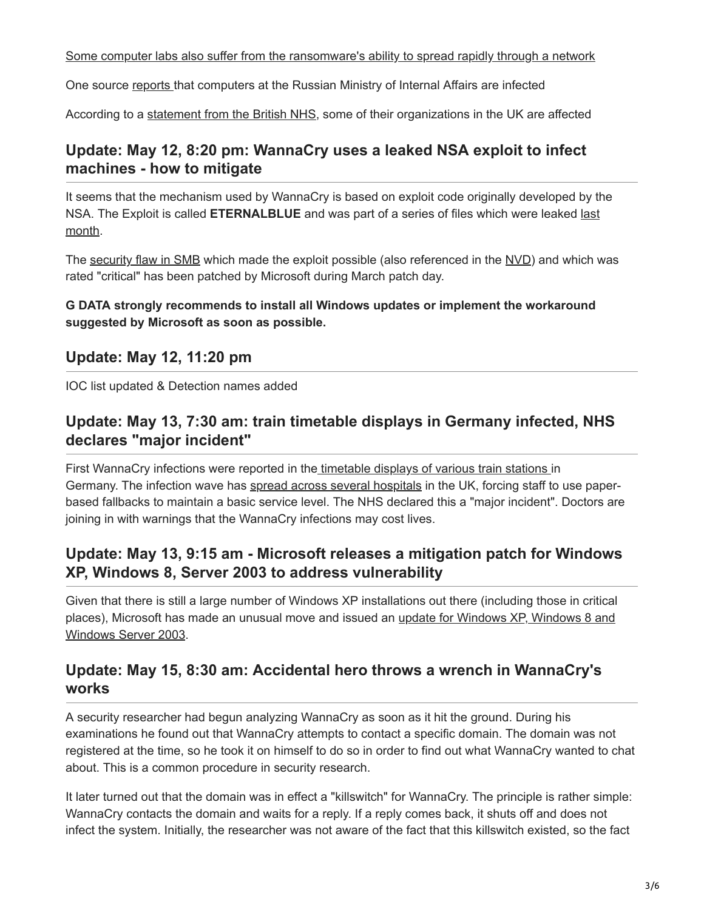[Some computer labs also suffer from the ransomware's ability to spread rapidly through a network](https://twitter.com/dodicin/status/862991818904002565)

One source [reports](http://varlamov.ru/2370148.html) that computers at the Russian Ministry of Internal Affairs are infected

According to a [statement from the British NHS,](https://digital.nhs.uk/article/1491/Statement-on-reported-NHS-cyber-attack) some of their organizations in the UK are affected

# **Update: May 12, 8:20 pm: WannaCry uses a leaked NSA exploit to infect machines - how to mitigate**

It seems that the mechanism used by WannaCry is based on exploit code originally developed by the NSA. The Exploit is called **ETERNALBLUE** [and was part of a series of files which were leaked last](http://https//www.bleepingcomputer.com/news/security/shadow-brokers-release-new-files-revealing-windows-exploits-swift-attacks/) month.

The [security flaw in SMB](https://technet.microsoft.com/en-us/library/security/ms17-010.aspx?f=255&MSPPError=-2147217396) which made the exploit possible (also referenced in the [NVD](http://www.cve.mitre.org/cgi-bin/cvename.cgi?name=CVE-2017-0143)) and which was rated "critical" has been patched by Microsoft during March patch day.

### **G DATA strongly recommends to install all Windows updates or implement the workaround suggested by Microsoft as soon as possible.**

### **Update: May 12, 11:20 pm**

IOC list updated & Detection names added

# **Update: May 13, 7:30 am: train timetable displays in Germany infected, NHS declares "major incident"**

First WannaCry infections were reported in th[e timetable displays of various train stations](https://twitter.com/Avas_Marco/status/863107445559889921) in Germany. The infection wave has [spread across several hospitals](http://www.telegraph.co.uk/news/2017/05/12/nhs-hit-major-cyber-attack-hackers-demanding-ransom/) in the UK, forcing staff to use paperbased fallbacks to maintain a basic service level. The NHS declared this a "major incident". Doctors are joining in with warnings that the WannaCry infections may cost lives.

### **Update: May 13, 9:15 am - Microsoft releases a mitigation patch for Windows XP, Windows 8, Server 2003 to address vulnerability**

Given that there is still a large number of Windows XP installations out there (including those in critical [places\), Microsoft has made an unusual move and issued an update for Windows XP, Windows 8 and](https://blogs.technet.microsoft.com/msrc/2017/05/12/customer-guidance-for-wannacrypt-attacks/) Windows Server 2003.

### **Update: May 15, 8:30 am: Accidental hero throws a wrench in WannaCry's works**

A security researcher had begun analyzing WannaCry as soon as it hit the ground. During his examinations he found out that WannaCry attempts to contact a specific domain. The domain was not registered at the time, so he took it on himself to do so in order to find out what WannaCry wanted to chat about. This is a common procedure in security research.

It later turned out that the domain was in effect a "killswitch" for WannaCry. The principle is rather simple: WannaCry contacts the domain and waits for a reply. If a reply comes back, it shuts off and does not infect the system. Initially, the researcher was not aware of the fact that this killswitch existed, so the fact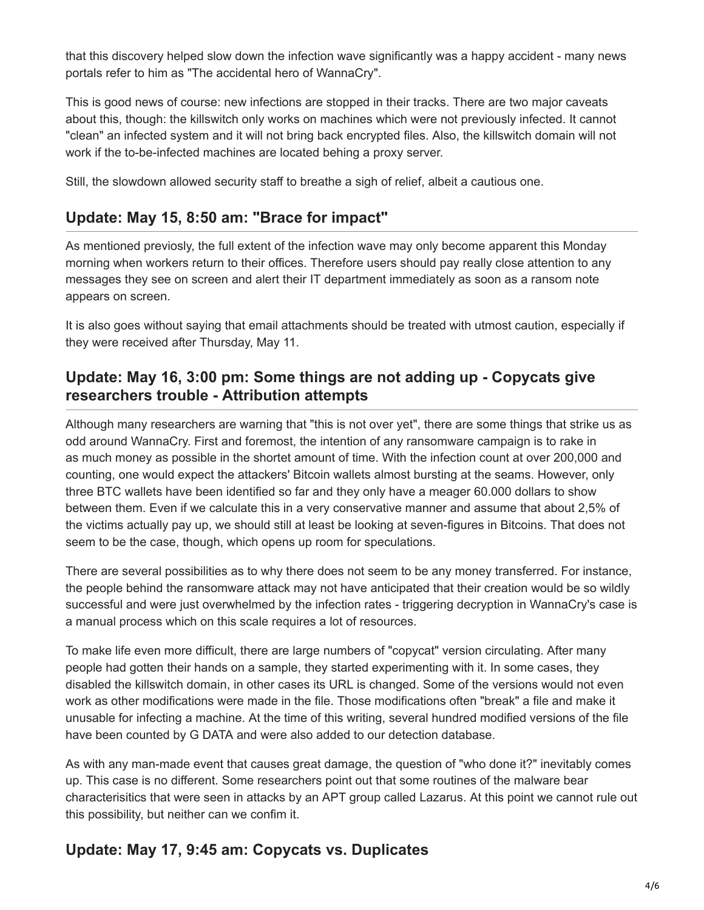that this discovery helped slow down the infection wave significantly was a happy accident - many news portals refer to him as "The accidental hero of WannaCry".

This is good news of course: new infections are stopped in their tracks. There are two major caveats about this, though: the killswitch only works on machines which were not previously infected. It cannot "clean" an infected system and it will not bring back encrypted files. Also, the killswitch domain will not work if the to-be-infected machines are located behing a proxy server.

Still, the slowdown allowed security staff to breathe a sigh of relief, albeit a cautious one.

# **Update: May 15, 8:50 am: "Brace for impact"**

As mentioned previosly, the full extent of the infection wave may only become apparent this Monday morning when workers return to their offices. Therefore users should pay really close attention to any messages they see on screen and alert their IT department immediately as soon as a ransom note appears on screen.

It is also goes without saying that email attachments should be treated with utmost caution, especially if they were received after Thursday, May 11.

### **Update: May 16, 3:00 pm: Some things are not adding up - Copycats give researchers trouble - Attribution attempts**

Although many researchers are warning that "this is not over yet", there are some things that strike us as odd around WannaCry. First and foremost, the intention of any ransomware campaign is to rake in as much money as possible in the shortet amount of time. With the infection count at over 200,000 and counting, one would expect the attackers' Bitcoin wallets almost bursting at the seams. However, only three BTC wallets have been identified so far and they only have a meager 60.000 dollars to show between them. Even if we calculate this in a very conservative manner and assume that about 2,5% of the victims actually pay up, we should still at least be looking at seven-figures in Bitcoins. That does not seem to be the case, though, which opens up room for speculations.

There are several possibilities as to why there does not seem to be any money transferred. For instance, the people behind the ransomware attack may not have anticipated that their creation would be so wildly successful and were just overwhelmed by the infection rates - triggering decryption in WannaCry's case is a manual process which on this scale requires a lot of resources.

To make life even more difficult, there are large numbers of "copycat" version circulating. After many people had gotten their hands on a sample, they started experimenting with it. In some cases, they disabled the killswitch domain, in other cases its URL is changed. Some of the versions would not even work as other modifications were made in the file. Those modifications often "break" a file and make it unusable for infecting a machine. At the time of this writing, several hundred modified versions of the file have been counted by G DATA and were also added to our detection database.

As with any man-made event that causes great damage, the question of "who done it?" inevitably comes up. This case is no different. Some researchers point out that some routines of the malware bear characterisitics that were seen in attacks by an APT group called Lazarus. At this point we cannot rule out this possibility, but neither can we confim it.

# **Update: May 17, 9:45 am: Copycats vs. Duplicates**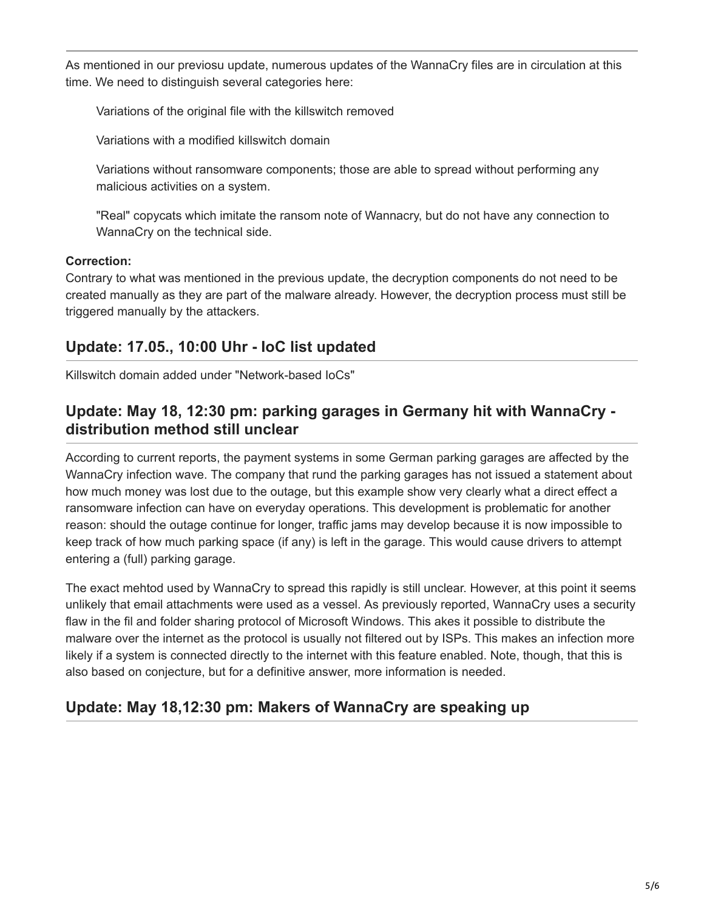As mentioned in our previosu update, numerous updates of the WannaCry files are in circulation at this time. We need to distinguish several categories here:

Variations of the original file with the killswitch removed

Variations with a modified killswitch domain

Variations without ransomware components; those are able to spread without performing any malicious activities on a system.

"Real" copycats which imitate the ransom note of Wannacry, but do not have any connection to WannaCry on the technical side.

### **Correction:**

Contrary to what was mentioned in the previous update, the decryption components do not need to be created manually as they are part of the malware already. However, the decryption process must still be triggered manually by the attackers.

# **Update: 17.05., 10:00 Uhr - IoC list updated**

Killswitch domain added under "Network-based IoCs"

# **Update: May 18, 12:30 pm: parking garages in Germany hit with WannaCry distribution method still unclear**

According to current reports, the payment systems in some German parking garages are affected by the WannaCry infection wave. The company that rund the parking garages has not issued a statement about how much money was lost due to the outage, but this example show very clearly what a direct effect a ransomware infection can have on everyday operations. This development is problematic for another reason: should the outage continue for longer, traffic jams may develop because it is now impossible to keep track of how much parking space (if any) is left in the garage. This would cause drivers to attempt entering a (full) parking garage.

The exact mehtod used by WannaCry to spread this rapidly is still unclear. However, at this point it seems unlikely that email attachments were used as a vessel. As previously reported, WannaCry uses a security flaw in the fil and folder sharing protocol of Microsoft Windows. This akes it possible to distribute the malware over the internet as the protocol is usually not filtered out by ISPs. This makes an infection more likely if a system is connected directly to the internet with this feature enabled. Note, though, that this is also based on conjecture, but for a definitive answer, more information is needed.

# **Update: May 18,12:30 pm: Makers of WannaCry are speaking up**